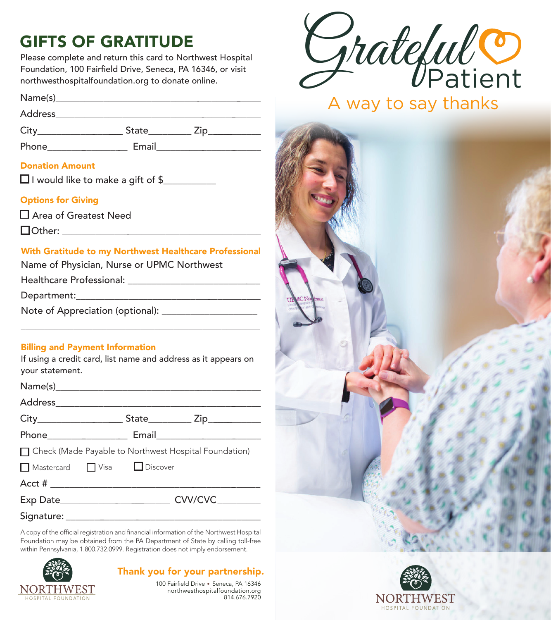# GIFTS OF GRATITUDE

Please complete and return this card to Northwest Hospital Foundation, 100 Fairfield Drive, Seneca, PA 16346, or visit northwesthospitalfoundation.org to donate online.

Name(s)\_\_\_\_\_\_\_\_\_\_\_\_\_\_\_\_\_\_\_\_\_\_\_\_\_\_\_\_\_\_\_\_\_\_\_\_\_\_\_\_\_\_\_\_

Address\_\_\_\_\_\_\_\_\_\_\_\_\_\_\_\_\_\_\_\_\_\_\_\_\_\_\_\_\_\_\_\_\_\_\_\_\_\_\_\_\_\_\_\_

City State Zip

Phone\_\_\_\_\_\_\_\_\_\_\_\_\_\_\_\_\_\_ Email\_\_\_\_\_\_\_\_\_\_\_\_\_\_\_\_\_\_\_\_\_\_\_

#### Donation Amount

 $\Box$  I would like to make a gift of \$

#### Options for Giving

Area of Greatest Need

Other: \_\_\_\_\_\_\_\_\_\_\_\_\_\_\_\_\_\_\_\_\_\_\_\_\_\_\_\_\_\_\_\_\_\_\_\_\_\_\_\_\_\_

#### With Gratitude to my Northwest Healthcare Professional

Name of Physician, Nurse or UPMC Northwest

Healthcare Professional: \_\_\_\_\_\_\_\_\_\_\_\_\_\_\_\_\_\_\_\_\_\_\_\_\_\_\_\_

Department:\_\_\_\_\_\_\_\_\_\_\_\_\_\_\_\_\_\_\_\_\_\_\_\_\_\_\_\_\_\_\_\_\_\_\_\_\_\_\_

Note of Appreciation (optional): \_\_\_\_\_\_\_\_\_\_\_\_\_\_\_\_\_\_\_\_

#### Billing and Payment Information

If using a credit card, list name and address as it appears on your statement.

\_\_\_\_\_\_\_\_\_\_\_\_\_\_\_\_\_\_\_\_\_\_\_\_\_\_\_\_\_\_\_\_\_\_\_\_\_\_\_\_\_\_\_\_\_\_\_\_\_\_

| □ Check (Made Payable to Northwest Hospital Foundation) |                           |  |
|---------------------------------------------------------|---------------------------|--|
|                                                         | Mastercard JVisa Discover |  |
|                                                         |                           |  |
|                                                         | CVV/CVC_________          |  |

Signature: \_\_\_\_\_\_\_\_\_\_\_\_\_\_\_\_\_\_\_\_\_\_\_\_\_\_\_\_\_\_\_\_\_\_\_\_\_\_\_\_\_\_

A copy of the official registration and financial information of the Northwest Hospital Foundation may be obtained from the PA Department of State by calling toll-free within Pennsylvania, 1.800.732.0999. Registration does not imply endorsement.



### Thank you for your partnership.

100 Fairfield Drive • Seneca, PA 16346 northwesthospitalfoundation.org 814.676.7920



A way to say thanks